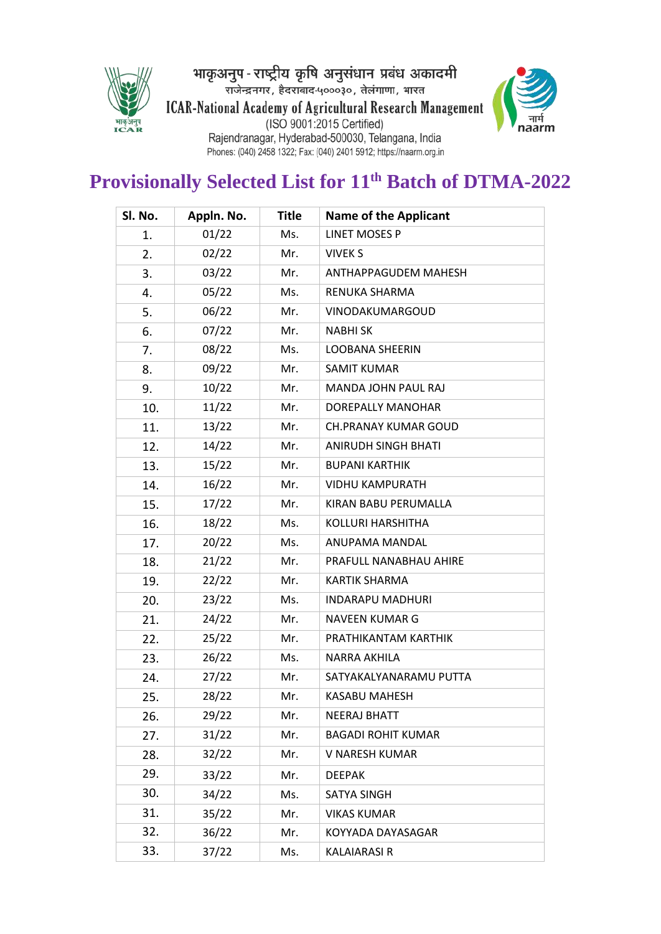

भाकृअनुप - राष्ट्रीय कृषि अनुसंधान प्रबंध अकादमी<br>राजेन्द्रनगर, हैदराबाद-५०००३०, तेलंगाणा, भारत ICAR-National Academy of Agricultural Research Management<br>(ISO 9001:2015 Certified)<br>Rajendranagar, Hyderabad-500030, Telangana, India<br>Phones: (040) 2458 1322; Fax: (040) 2401 5912; https://naarm.org.in



# **Provisionally Selected List for 11 th Batch of DTMA-2022**

| Sl. No. | Appln. No. | <b>Title</b> | <b>Name of the Applicant</b> |  |
|---------|------------|--------------|------------------------------|--|
| 1.      | 01/22      | Ms.          | <b>LINET MOSES P</b>         |  |
| 2.      | 02/22      | Mr.          | <b>VIVEK S</b>               |  |
| 3.      | 03/22      | Mr.          | ANTHAPPAGUDEM MAHESH         |  |
| 4.      | 05/22      | Ms.          | RENUKA SHARMA                |  |
| 5.      | 06/22      | Mr.          | VINODAKUMARGOUD              |  |
| 6.      | 07/22      | Mr.          | <b>NABHISK</b>               |  |
| 7.      | 08/22      | Ms.          | <b>LOOBANA SHEERIN</b>       |  |
| 8.      | 09/22      | Mr.          | <b>SAMIT KUMAR</b>           |  |
| 9.      | 10/22      | Mr.          | <b>MANDA JOHN PAUL RAJ</b>   |  |
| 10.     | 11/22      | Mr.          | DOREPALLY MANOHAR            |  |
| 11.     | 13/22      | Mr.          | <b>CH.PRANAY KUMAR GOUD</b>  |  |
| 12.     | 14/22      | Mr.          | <b>ANIRUDH SINGH BHATI</b>   |  |
| 13.     | 15/22      | Mr.          | <b>BUPANI KARTHIK</b>        |  |
| 14.     | 16/22      | Mr.          | <b>VIDHU KAMPURATH</b>       |  |
| 15.     | 17/22      | Mr.          | KIRAN BABU PERUMALLA         |  |
| 16.     | 18/22      | Ms.          | <b>KOLLURI HARSHITHA</b>     |  |
| 17.     | 20/22      | Ms.          | ANUPAMA MANDAL               |  |
| 18.     | 21/22      | Mr.          | PRAFULL NANABHAU AHIRE       |  |
| 19.     | 22/22      | Mr.          | <b>KARTIK SHARMA</b>         |  |
| 20.     | 23/22      | Ms.          | <b>INDARAPU MADHURI</b>      |  |
| 21.     | 24/22      | Mr.          | <b>NAVEEN KUMAR G</b>        |  |
| 22.     | 25/22      | Mr.          | PRATHIKANTAM KARTHIK         |  |
| 23.     | 26/22      | Ms.          | NARRA AKHILA                 |  |
| 24.     | 27/22      | Mr.          | SATYAKALYANARAMU PUTTA       |  |
| 25.     | 28/22      | Mr.          | <b>KASABU MAHESH</b>         |  |
| 26.     | 29/22      | Mr.          | <b>NEERAJ BHATT</b>          |  |
| 27.     | 31/22      | Mr.          | <b>BAGADI ROHIT KUMAR</b>    |  |
| 28.     | 32/22      | Mr.          | V NARESH KUMAR               |  |
| 29.     | 33/22      | Mr.          | <b>DEEPAK</b>                |  |
| 30.     | 34/22      | Ms.          | <b>SATYA SINGH</b>           |  |
| 31.     | 35/22      | Mr.          | <b>VIKAS KUMAR</b>           |  |
| 32.     | 36/22      | Mr.          | KOYYADA DAYASAGAR            |  |
| 33.     | 37/22      | Ms.          | <b>KALAIARASI R</b>          |  |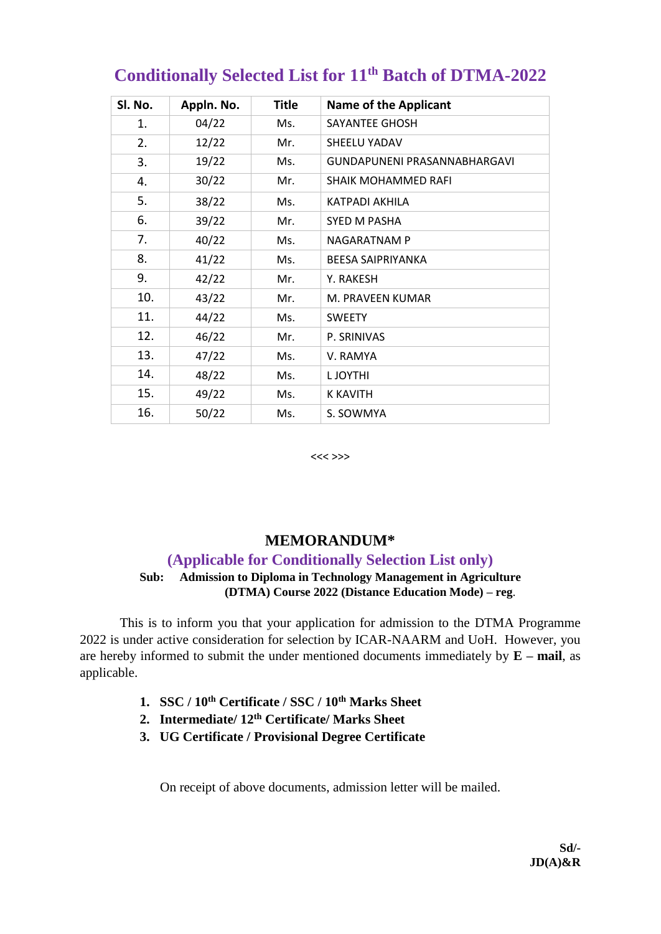| SI. No. | Appln. No. | <b>Title</b> | <b>Name of the Applicant</b> |
|---------|------------|--------------|------------------------------|
| 1.      | 04/22      | Ms.          | SAYANTEE GHOSH               |
| 2.      | 12/22      | Mr.          | SHEELU YADAV                 |
| 3.      | 19/22      | Ms.          | GUNDAPUNENI PRASANNABHARGAVI |
| 4.      | 30/22      | Mr.          | <b>SHAIK MOHAMMED RAFI</b>   |
| 5.      | 38/22      | Ms.          | KATPADI AKHILA               |
| 6.      | 39/22      | Mr.          | SYED M PASHA                 |
| 7.      | 40/22      | Ms.          | <b>NAGARATNAM P</b>          |
| 8.      | 41/22      | Ms.          | <b>BEESA SAIPRIYANKA</b>     |
| 9.      | 42/22      | Mr.          | Y. RAKESH                    |
| 10.     | 43/22      | Mr.          | M. PRAVEEN KUMAR             |
| 11.     | 44/22      | Ms.          | <b>SWEETY</b>                |
| 12.     | 46/22      | Mr.          | P. SRINIVAS                  |
| 13.     | 47/22      | Ms.          | V. RAMYA                     |
| 14.     | 48/22      | Ms.          | L JOYTHI                     |
| 15.     | 49/22      | Ms.          | <b>K KAVITH</b>              |
| 16.     | 50/22      | Ms.          | S. SOWMYA                    |

# **Conditionally Selected List for 11 th Batch of DTMA-2022**

<<< >>>

## **MEMORANDUM\***

### **(Applicable for Conditionally Selection List only)**

### **Sub: Admission to Diploma in Technology Management in Agriculture (DTMA) Course 2022 (Distance Education Mode) – reg**.

This is to inform you that your application for admission to the DTMA Programme 2022 is under active consideration for selection by ICAR-NAARM and UoH. However, you are hereby informed to submit the under mentioned documents immediately by **E – mail**, as applicable.

- **1. SSC / 10th Certificate / SSC / 10th Marks Sheet**
- **2. Intermediate/ 12th Certificate/ Marks Sheet**
- **3. UG Certificate / Provisional Degree Certificate**

On receipt of above documents, admission letter will be mailed.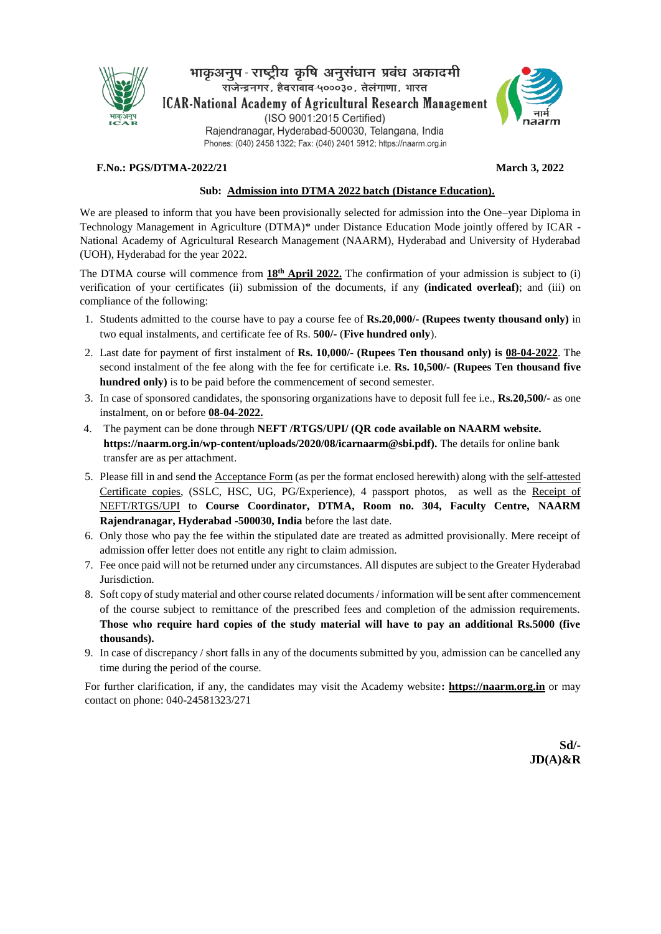

भाकुअनुप-राष्ट्रीय कृषि अनुसंधान प्रबंध अकादमी राजेन्द्रनगर, हैदराबाद-५०००३०, तेलंगाणा, भारत **ICAR-National Academy of Agricultural Research Management** (ISO 9001:2015 Certified) Rajendranagar, Hyderabad-500030, Telangana, India Phones: (040) 2458 1322; Fax: (040) 2401 5912; https://naarm.org.in



#### **F.No.: PGS/DTMA-2022/21 March 3, 2022**

#### **Sub: Admission into DTMA 2022 batch (Distance Education).**

We are pleased to inform that you have been provisionally selected for admission into the One–year Diploma in Technology Management in Agriculture (DTMA)\* under Distance Education Mode jointly offered by ICAR - National Academy of Agricultural Research Management (NAARM), Hyderabad and University of Hyderabad (UOH), Hyderabad for the year 2022.

The DTMA course will commence from **18<sup>th</sup> April 2022**. The confirmation of your admission is subject to (i) verification of your certificates (ii) submission of the documents, if any **(indicated overleaf)**; and (iii) on compliance of the following:

- 1. Students admitted to the course have to pay a course fee of **Rs.20,000/- (Rupees twenty thousand only)** in two equal instalments, and certificate fee of Rs. **500/-** (**Five hundred only**).
- 2. Last date for payment of first instalment of **Rs. 10,000/- (Rupees Ten thousand only) is 08-04-2022**. The second instalment of the fee along with the fee for certificate i.e. **Rs. 10,500/- (Rupees Ten thousand five hundred only)** is to be paid before the commencement of second semester.
- 3. In case of sponsored candidates, the sponsoring organizations have to deposit full fee i.e., **Rs.20,500/-** as one instalment, on or before **08-04-2022.**
- 4. The payment can be done through **NEFT /RTGS/UPI/ (QR code available on NAARM website. https://naarm.org.in/wp-content/uploads/2020/08/icarnaarm@sbi.pdf).** The details for online bank transfer are as per attachment.
- 5. Please fill in and send the Acceptance Form (as per the format enclosed herewith) along with the self-attested Certificate copies, (SSLC, HSC, UG, PG/Experience), 4 passport photos, as well as the Receipt of NEFT/RTGS/UPI to **Course Coordinator, DTMA, Room no. 304, Faculty Centre, NAARM Rajendranagar, Hyderabad -500030, India** before the last date.
- 6. Only those who pay the fee within the stipulated date are treated as admitted provisionally. Mere receipt of admission offer letter does not entitle any right to claim admission.
- 7. Fee once paid will not be returned under any circumstances. All disputes are subject to the Greater Hyderabad Jurisdiction.
- 8. Soft copy of study material and other course related documents / information will be sent after commencement of the course subject to remittance of the prescribed fees and completion of the admission requirements. **Those who require hard copies of the study material will have to pay an additional Rs.5000 (five thousands).**
- 9. In case of discrepancy / short falls in any of the documents submitted by you, admission can be cancelled any time during the period of the course.

For further clarification, if any, the candidates may visit the Academy website**: https://naarm.org.in** or may contact on phone: 040-24581323/271

> **Sd/- JD(A)&R**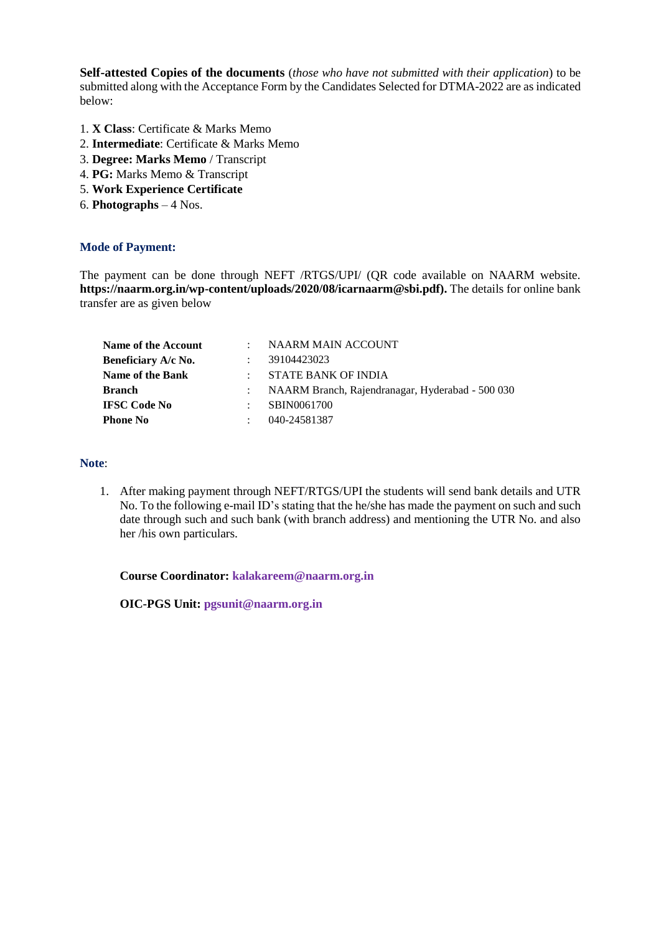**Self-attested Copies of the documents** (*those who have not submitted with their application*) to be submitted along with the Acceptance Form by the Candidates Selected for DTMA-2022 are as indicated below:

- 1. **X Class**: Certificate & Marks Memo
- 2. **Intermediate**: Certificate & Marks Memo
- 3. **Degree: Marks Memo** / Transcript
- 4. **PG:** Marks Memo & Transcript
- 5. **Work Experience Certificate**
- 6. **Photographs**  4 Nos.

#### **Mode of Payment:**

The payment can be done through NEFT /RTGS/UPI/ (QR code available on NAARM website. **https://naarm.org.in/wp-content/uploads/2020/08/icarnaarm@sbi.pdf).** The details for online bank transfer are as given below

| <b>Name of the Account</b> | NAARM MAIN ACCOUNT                               |
|----------------------------|--------------------------------------------------|
| Beneficiary A/c No.        | 39104423023                                      |
| <b>Name of the Bank</b>    | STATE BANK OF INDIA                              |
| <b>Branch</b>              | NAARM Branch, Rajendranagar, Hyderabad - 500 030 |
| <b>IFSC Code No</b>        | SBIN0061700                                      |
| <b>Phone No</b>            | 040-24581387                                     |
|                            |                                                  |

#### **Note**:

1. After making payment through NEFT/RTGS/UPI the students will send bank details and UTR No. To the following e-mail ID's stating that the he/she has made the payment on such and such date through such and such bank (with branch address) and mentioning the UTR No. and also her /his own particulars.

**Course Coordinator: [kalakareem@naarm.org.in](mailto:kalakareem@naarm.org.in)**

**OIC-PGS Unit: [pgsunit@naarm.org.in](mailto:pgsunit@naarm.org.in)**